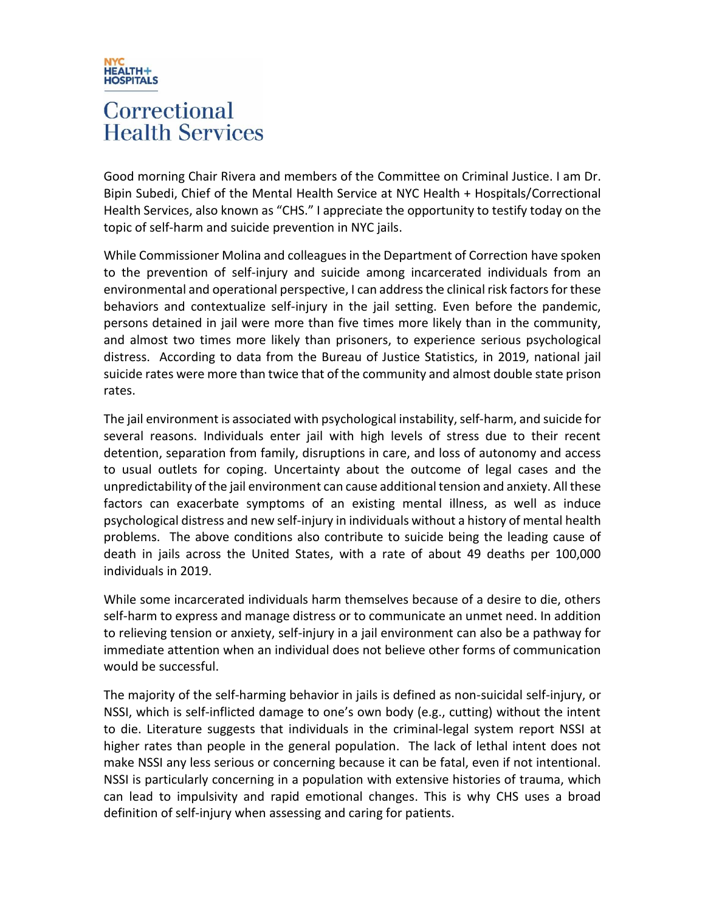

## Correctional **Health Services**

Good morning Chair Rivera and members of the Committee on Criminal Justice. I am Dr. Bipin Subedi, Chief of the Mental Health Service at NYC Health + Hospitals/Correctional Health Services, also known as "CHS." I appreciate the opportunity to testify today on the topic of self-harm and suicide prevention in NYC jails.

While Commissioner Molina and colleagues in the Department of Correction have spoken to the prevention of self-injury and suicide among incarcerated individuals from an environmental and operational perspective, I can address the clinical risk factorsfor these behaviors and contextualize self-injury in the jail setting. Even before the pandemic, persons detained in jail were more than five times more likely than in the community, and almost two times more likely than prisoners, to experience serious psychological distress. According to data from the Bureau of Justice Statistics, in 2019, national jail suicide rates were more than twice that of the community and almost double state prison rates.

The jail environment is associated with psychological instability, self-harm, and suicide for several reasons. Individuals enter jail with high levels of stress due to their recent detention, separation from family, disruptions in care, and loss of autonomy and access to usual outlets for coping. Uncertainty about the outcome of legal cases and the unpredictability of the jail environment can cause additional tension and anxiety. All these factors can exacerbate symptoms of an existing mental illness, as well as induce psychological distress and new self-injury in individuals without a history of mental health problems. The above conditions also contribute to suicide being the leading cause of death in jails across the United States, with a rate of about 49 deaths per 100,000 individuals in 2019.

While some incarcerated individuals harm themselves because of a desire to die, others self-harm to express and manage distress or to communicate an unmet need. In addition to relieving tension or anxiety, self-injury in a jail environment can also be a pathway for immediate attention when an individual does not believe other forms of communication would be successful.

The majority of the self-harming behavior in jails is defined as non-suicidal self-injury, or NSSI, which is self-inflicted damage to one's own body (e.g., cutting) without the intent to die. Literature suggests that individuals in the criminal-legal system report NSSI at higher rates than people in the general population. The lack of lethal intent does not make NSSI any less serious or concerning because it can be fatal, even if not intentional. NSSI is particularly concerning in a population with extensive histories of trauma, which can lead to impulsivity and rapid emotional changes. This is why CHS uses a broad definition of self-injury when assessing and caring for patients.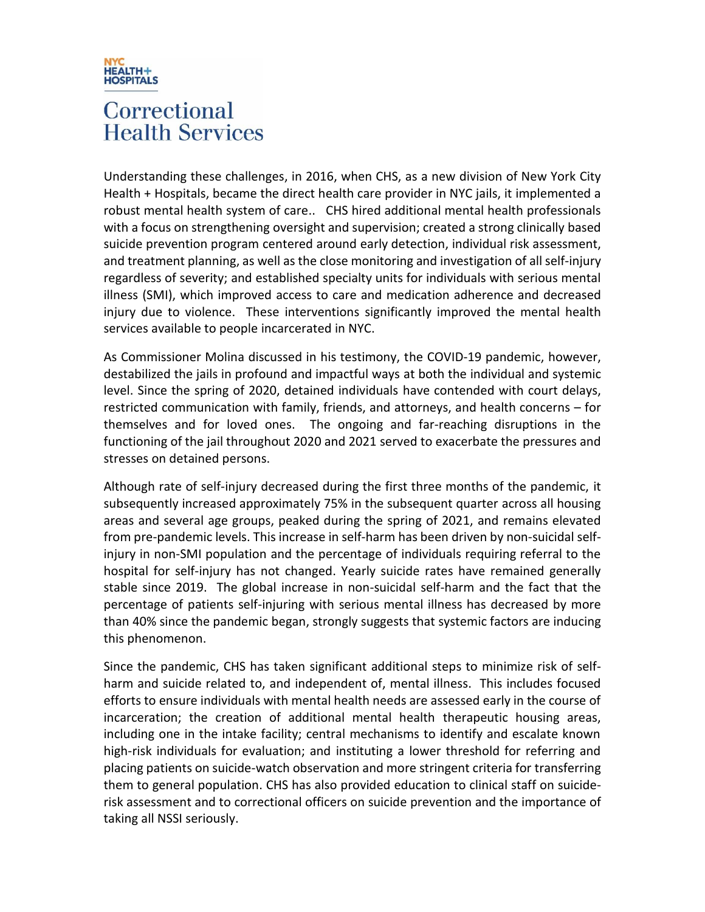

## Correctional **Health Services**

Understanding these challenges, in 2016, when CHS, as a new division of New York City Health + Hospitals, became the direct health care provider in NYC jails, it implemented a robust mental health system of care.. CHS hired additional mental health professionals with a focus on strengthening oversight and supervision; created a strong clinically based suicide prevention program centered around early detection, individual risk assessment, and treatment planning, as well as the close monitoring and investigation of all self-injury regardless of severity; and established specialty units for individuals with serious mental illness (SMI), which improved access to care and medication adherence and decreased injury due to violence. These interventions significantly improved the mental health services available to people incarcerated in NYC.

As Commissioner Molina discussed in his testimony, the COVID-19 pandemic, however, destabilized the jails in profound and impactful ways at both the individual and systemic level. Since the spring of 2020, detained individuals have contended with court delays, restricted communication with family, friends, and attorneys, and health concerns – for themselves and for loved ones. The ongoing and far-reaching disruptions in the functioning of the jail throughout 2020 and 2021 served to exacerbate the pressures and stresses on detained persons.

Although rate of self-injury decreased during the first three months of the pandemic, it subsequently increased approximately 75% in the subsequent quarter across all housing areas and several age groups, peaked during the spring of 2021, and remains elevated from pre-pandemic levels. This increase in self-harm has been driven by non-suicidal selfinjury in non-SMI population and the percentage of individuals requiring referral to the hospital for self-injury has not changed. Yearly suicide rates have remained generally stable since 2019. The global increase in non-suicidal self-harm and the fact that the percentage of patients self-injuring with serious mental illness has decreased by more than 40% since the pandemic began, strongly suggests that systemic factors are inducing this phenomenon.

Since the pandemic, CHS has taken significant additional steps to minimize risk of selfharm and suicide related to, and independent of, mental illness. This includes focused efforts to ensure individuals with mental health needs are assessed early in the course of incarceration; the creation of additional mental health therapeutic housing areas, including one in the intake facility; central mechanisms to identify and escalate known high-risk individuals for evaluation; and instituting a lower threshold for referring and placing patients on suicide-watch observation and more stringent criteria for transferring them to general population. CHS has also provided education to clinical staff on suiciderisk assessment and to correctional officers on suicide prevention and the importance of taking all NSSI seriously.